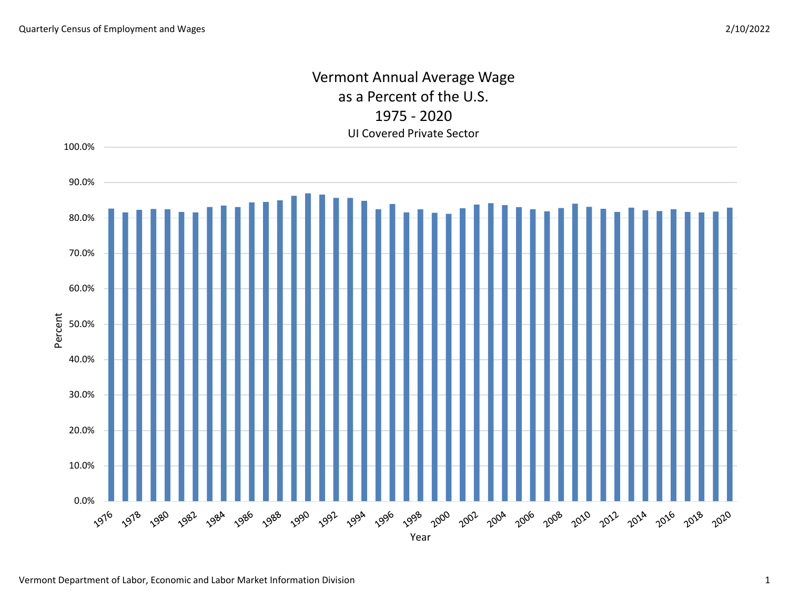## Vermont Annual Average Wage as a Percent of the U.S. 1975 - 2020 UI Covered Private Sector

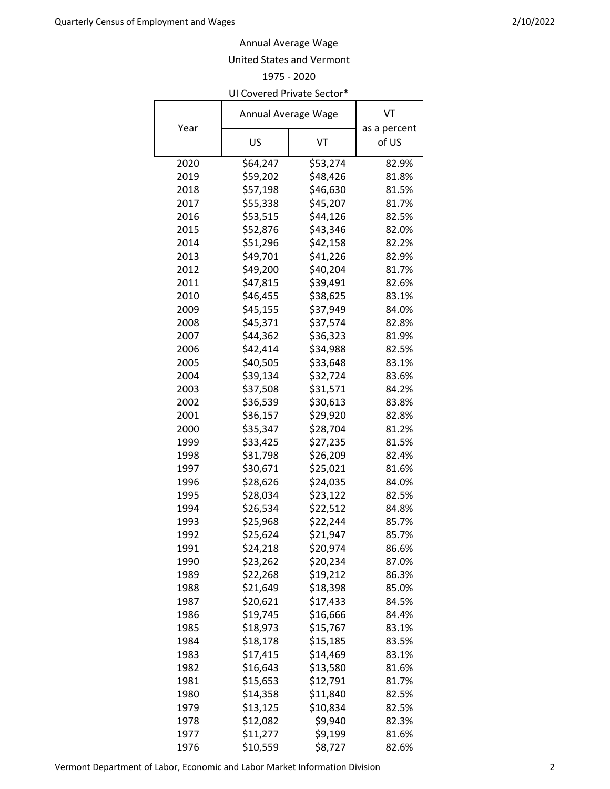## Annual Average Wage

## United States and Vermont

1975 - 2020

| UI Covered Private Sector* |                     |          |              |  |  |
|----------------------------|---------------------|----------|--------------|--|--|
|                            | Annual Average Wage |          | VT           |  |  |
| Year                       |                     |          | as a percent |  |  |
|                            | US                  | VT       | of US        |  |  |
| 2020                       | \$64,247            | \$53,274 | 82.9%        |  |  |
| 2019                       | \$59,202            | \$48,426 | 81.8%        |  |  |
| 2018                       | \$57,198            | \$46,630 | 81.5%        |  |  |
| 2017                       | \$55,338            | \$45,207 | 81.7%        |  |  |
| 2016                       | \$53,515            | \$44,126 | 82.5%        |  |  |
| 2015                       | \$52,876            | \$43,346 | 82.0%        |  |  |
| 2014                       | \$51,296            | \$42,158 | 82.2%        |  |  |
| 2013                       | \$49,701            | \$41,226 | 82.9%        |  |  |
| 2012                       | \$49,200            | \$40,204 | 81.7%        |  |  |
| 2011                       | \$47,815            | \$39,491 | 82.6%        |  |  |
| 2010                       | \$46,455            | \$38,625 | 83.1%        |  |  |
| 2009                       | \$45,155            | \$37,949 | 84.0%        |  |  |
| 2008                       | \$45,371            | \$37,574 | 82.8%        |  |  |
| 2007                       | \$44,362            | \$36,323 | 81.9%        |  |  |
| 2006                       | \$42,414            | \$34,988 | 82.5%        |  |  |
| 2005                       | \$40,505            | \$33,648 | 83.1%        |  |  |
| 2004                       | \$39,134            | \$32,724 | 83.6%        |  |  |
| 2003                       | \$37,508            | \$31,571 | 84.2%        |  |  |
| 2002                       | \$36,539            | \$30,613 | 83.8%        |  |  |
| 2001                       | \$36,157            | \$29,920 | 82.8%        |  |  |
| 2000                       | \$35,347            | \$28,704 | 81.2%        |  |  |
| 1999                       | \$33,425            | \$27,235 | 81.5%        |  |  |
| 1998                       | \$31,798            | \$26,209 | 82.4%        |  |  |
| 1997                       | \$30,671            | \$25,021 | 81.6%        |  |  |
| 1996                       | \$28,626            | \$24,035 | 84.0%        |  |  |
| 1995                       | \$28,034            | \$23,122 | 82.5%        |  |  |
| 1994                       | \$26,534            | \$22,512 | 84.8%        |  |  |
| 1993                       | \$25,968            | \$22,244 | 85.7%        |  |  |
| 1992                       | \$25,624            | \$21,947 | 85.7%        |  |  |
| 1991                       | \$24,218            | \$20,974 | 86.6%        |  |  |
| 1990                       | \$23,262            | \$20,234 | 87.0%        |  |  |
| 1989                       | \$22,268            | \$19,212 | 86.3%        |  |  |
| 1988                       | \$21,649            | \$18,398 | 85.0%        |  |  |
| 1987                       | \$20,621            | \$17,433 | 84.5%        |  |  |
| 1986                       | \$19,745            | \$16,666 | 84.4%        |  |  |
| 1985                       | \$18,973            | \$15,767 | 83.1%        |  |  |
| 1984                       | \$18,178            | \$15,185 | 83.5%        |  |  |
| 1983                       | \$17,415            | \$14,469 | 83.1%        |  |  |
| 1982                       | \$16,643            | \$13,580 | 81.6%        |  |  |
| 1981                       | \$15,653            | \$12,791 | 81.7%        |  |  |
| 1980                       | \$14,358            | \$11,840 | 82.5%        |  |  |
| 1979                       | \$13,125            | \$10,834 | 82.5%        |  |  |
| 1978                       | \$12,082            | \$9,940  | 82.3%        |  |  |
| 1977                       | \$11,277            | \$9,199  | 81.6%        |  |  |
| 1976                       | \$10,559            | \$8,727  | 82.6%        |  |  |

Vermont Department of Labor, Economic and Labor Market Information Division 2